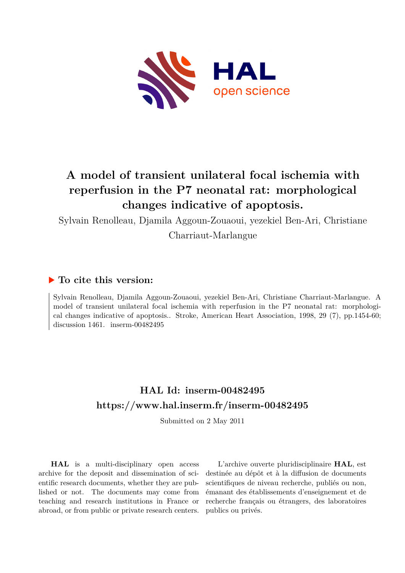

# **A model of transient unilateral focal ischemia with reperfusion in the P7 neonatal rat: morphological changes indicative of apoptosis.**

Sylvain Renolleau, Djamila Aggoun-Zouaoui, yezekiel Ben-Ari, Christiane

Charriaut-Marlangue

## **To cite this version:**

Sylvain Renolleau, Djamila Aggoun-Zouaoui, yezekiel Ben-Ari, Christiane Charriaut-Marlangue. A model of transient unilateral focal ischemia with reperfusion in the P7 neonatal rat: morphological changes indicative of apoptosis.. Stroke, American Heart Association, 1998, 29 (7), pp.1454-60; discussion 1461. inserm-00482495

## **HAL Id: inserm-00482495 <https://www.hal.inserm.fr/inserm-00482495>**

Submitted on 2 May 2011

**HAL** is a multi-disciplinary open access archive for the deposit and dissemination of scientific research documents, whether they are published or not. The documents may come from teaching and research institutions in France or abroad, or from public or private research centers.

L'archive ouverte pluridisciplinaire **HAL**, est destinée au dépôt et à la diffusion de documents scientifiques de niveau recherche, publiés ou non, émanant des établissements d'enseignement et de recherche français ou étrangers, des laboratoires publics ou privés.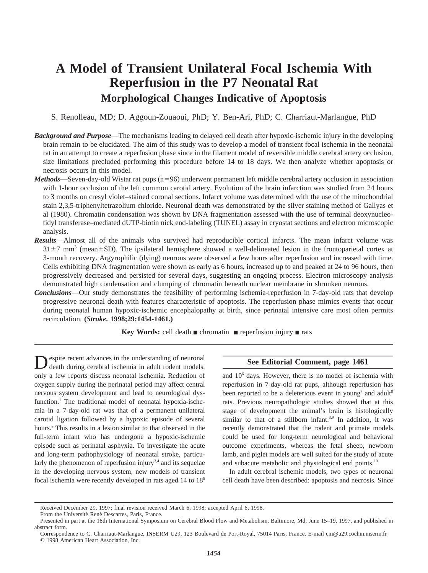## **A Model of Transient Unilateral Focal Ischemia With Reperfusion in the P7 Neonatal Rat Morphological Changes Indicative of Apoptosis**

S. Renolleau, MD; D. Aggoun-Zouaoui, PhD; Y. Ben-Ari, PhD; C. Charriaut-Marlangue, PhD

- *Background and Purpose*—The mechanisms leading to delayed cell death after hypoxic-ischemic injury in the developing brain remain to be elucidated. The aim of this study was to develop a model of transient focal ischemia in the neonatal rat in an attempt to create a reperfusion phase since in the filament model of reversible middle cerebral artery occlusion, size limitations precluded performing this procedure before 14 to 18 days. We then analyze whether apoptosis or necrosis occurs in this model.
- *Methods*—Seven-day-old Wistar rat pups (n=96) underwent permanent left middle cerebral artery occlusion in association with 1-hour occlusion of the left common carotid artery. Evolution of the brain infarction was studied from 24 hours to 3 months on cresyl violet–stained coronal sections. Infarct volume was determined with the use of the mitochondrial stain 2,3,5-triphenyltetrazolium chloride. Neuronal death was demonstrated by the silver staining method of Gallyas et al (1980). Chromatin condensation was shown by DNA fragmentation assessed with the use of terminal deoxynucleotidyl transferase–mediated dUTP-biotin nick end-labeling (TUNEL) assay in cryostat sections and electron microscopic analysis.
- *Results*—Almost all of the animals who survived had reproducible cortical infarcts. The mean infarct volume was  $31\pm7$  mm<sup>3</sup> (mean $\pm$ SD). The ipsilateral hemisphere showed a well-delineated lesion in the frontoparietal cortex at 3-month recovery. Argyrophilic (dying) neurons were observed a few hours after reperfusion and increased with time. Cells exhibiting DNA fragmentation were shown as early as 6 hours, increased up to and peaked at 24 to 96 hours, then progressively decreased and persisted for several days, suggesting an ongoing process. Electron microscopy analysis demonstrated high condensation and clumping of chromatin beneath nuclear membrane in shrunken neurons.
- *Conclusions*—Our study demonstrates the feasibility of performing ischemia-reperfusion in 7-day-old rats that develop progressive neuronal death with features characteristic of apoptosis. The reperfusion phase mimics events that occur during neonatal human hypoxic-ischemic encephalopathy at birth, since perinatal intensive care most often permits recirculation. **(***Stroke***. 1998;29:1454-1461.)**

**Key Words:** cell death ■ chromatin ■ reperfusion injury ■ rats

Despite recent advances in the understanding of neuronal death during cerebral ischemia in adult rodent models, only a few reports discuss neonatal ischemia. Reduction of oxygen supply during the perinatal period may affect central nervous system development and lead to neurological dysfunction.<sup>1</sup> The traditional model of neonatal hypoxia-ischemia in a 7-day-old rat was that of a permanent unilateral carotid ligation followed by a hypoxic episode of several hours.<sup>2</sup> This results in a lesion similar to that observed in the full-term infant who has undergone a hypoxic-ischemic episode such as perinatal asphyxia. To investigate the acute and long-term pathophysiology of neonatal stroke, particularly the phenomenon of reperfusion injury<sup>3,4</sup> and its sequelae in the developing nervous system, new models of transient focal ischemia were recently developed in rats aged 14 to 185

#### **See Editorial Comment, page 1461**

and  $10<sup>6</sup>$  days. However, there is no model of ischemia with reperfusion in 7-day-old rat pups, although reperfusion has been reported to be a deleterious event in young<sup>7</sup> and adult<sup>8</sup> rats. Previous neuropathologic studies showed that at this stage of development the animal's brain is histologically similar to that of a stillborn infant. $3,9$  In addition, it was recently demonstrated that the rodent and primate models could be used for long-term neurological and behavioral outcome experiments, whereas the fetal sheep, newborn lamb, and piglet models are well suited for the study of acute and subacute metabolic and physiological end points.<sup>10</sup>

In adult cerebral ischemic models, two types of neuronal cell death have been described: apoptosis and necrosis. Since

Received December 29, 1997; final revision received March 6, 1998; accepted April 6, 1998.

From the Université René Descartes, Paris, France.

Presented in part at the 18th International Symposium on Cerebral Blood Flow and Metabolism, Baltimore, Md, June 15–19, 1997, and published in abstract form.

Correspondence to C. Charriaut-Marlangue, INSERM U29, 123 Boulevard de Port-Royal, 75014 Paris, France. E-mail cm@u29.cochin.inserm.fr © 1998 American Heart Association, Inc.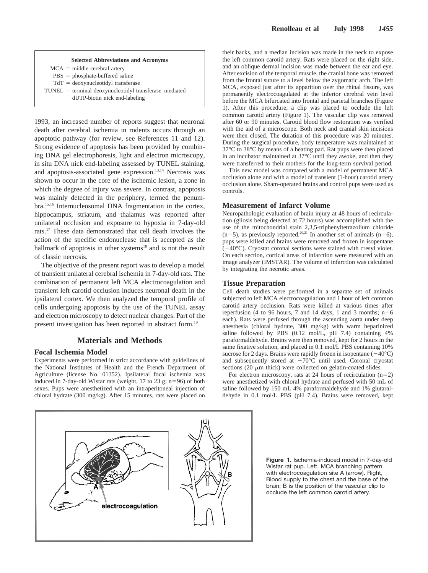

 $MCA = middle cerebral$  artery  $PBS = phosphate-bufficiented saline$  $TdT = deoxynucleotidy1 transferase$  $TUNEL = terminal$  deoxynucleotidyl transferase–mediated

dUTP-biotin nick end-labeling

1993, an increased number of reports suggest that neuronal death after cerebral ischemia in rodents occurs through an apoptotic pathway (for review, see References 11 and 12). Strong evidence of apoptosis has been provided by combining DNA gel electrophoresis, light and electron microscopy, in situ DNA nick end-labeling assessed by TUNEL staining, and apoptosis-associated gene expression.<sup>13,14</sup> Necrosis was shown to occur in the core of the ischemic lesion, a zone in which the degree of injury was severe. In contrast, apoptosis was mainly detected in the periphery, termed the penumbra.15,16 Internucleosomal DNA fragmentation in the cortex, hippocampus, striatum, and thalamus was reported after unilateral occlusion and exposure to hypoxia in 7-day-old rats.17 These data demonstrated that cell death involves the action of the specific endonuclease that is accepted as the hallmark of apoptosis in other systems $18$  and is not the result of classic necrosis.

The objective of the present report was to develop a model of transient unilateral cerebral ischemia in 7-day-old rats. The combination of permanent left MCA electrocoagulation and transient left carotid occlusion induces neuronal death in the ipsilateral cortex. We then analyzed the temporal profile of cells undergoing apoptosis by the use of the TUNEL assay and electron microscopy to detect nuclear changes. Part of the present investigation has been reported in abstract form.19

## **Materials and Methods**

### **Focal Ischemia Model**

Experiments were performed in strict accordance with guidelines of the National Institutes of Health and the French Department of Agriculture (license No. 01352). Ipsilateral focal ischemia was induced in 7-day-old Wistar rats (weight,  $17$  to  $23$  g; n=96) of both sexes. Pups were anesthetized with an intraperitoneal injection of chloral hydrate (300 mg/kg). After 15 minutes, rats were placed on their backs, and a median incision was made in the neck to expose the left common carotid artery. Rats were placed on the right side, and an oblique dermal incision was made between the ear and eye. After excision of the temporal muscle, the cranial bone was removed from the frontal suture to a level below the zygomatic arch. The left MCA, exposed just after its apparition over the rhinal fissure, was permanently electrocoagulated at the inferior cerebral vein level before the MCA bifurcated into frontal and parietal branches (Figure 1). After this procedure, a clip was placed to occlude the left common carotid artery (Figure 1). The vascular clip was removed after 60 or 90 minutes. Carotid blood flow restoration was verified with the aid of a microscope. Both neck and cranial skin incisions were then closed. The duration of this procedure was 20 minutes. During the surgical procedure, body temperature was maintained at 37°C to 38°C by means of a heating pad. Rat pups were then placed in an incubator maintained at 37°C until they awoke, and then they were transferred to their mothers for the long-term survival period.

This new model was compared with a model of permanent MCA occlusion alone and with a model of transient (1-hour) carotid artery occlusion alone. Sham-operated brains and control pups were used as controls.

## **Measurement of Infarct Volume**

Neuropathologic evaluation of brain injury at 48 hours of recirculation (gliosis being detected at 72 hours) was accomplished with the use of the mitochondrial stain 2,3,5-triphenyltetrazolium chloride  $(n=5)$ , as previously reported.<sup>20,21</sup> In another set of animals  $(n=6)$ , pups were killed and brains were removed and frozen in isopentane  $(-40^{\circ}$ C). Cryostat coronal sections were stained with cresyl violet. On each section, cortical areas of infarction were measured with an image analyzer (IMSTAR). The volume of infarction was calculated by integrating the necrotic areas.

### **Tissue Preparation**

Cell death studies were performed in a separate set of animals subjected to left MCA electrocoagulation and 1 hour of left common carotid artery occlusion. Rats were killed at various times after reperfusion (4 to 96 hours, 7 and 14 days, 1 and 3 months;  $n=6$ each). Rats were perfused through the ascending aorta under deep anesthesia (chloral hydrate, 300 mg/kg) with warm heparinized saline followed by PBS (0.12 mol/L, pH 7.4) containing 4% paraformaldehyde. Brains were then removed, kept for 2 hours in the same fixative solution, and placed in 0.1 mol/L PBS containing 10% sucrose for 2 days. Brains were rapidly frozen in isopentane  $(-40^{\circ}C)$ and subsequently stored at  $-70^{\circ}$ C until used. Coronal cryostat sections (20  $\mu$ m thick) were collected on gelatin-coated slides.

For electron microscopy, rats at 24 hours of recirculation  $(n=2)$ were anesthetized with chloral hydrate and perfused with 50 mL of saline followed by 150 mL 4% paraformaldehyde and 1% glutaraldehyde in 0.1 mol/L PBS (pH 7.4). Brains were removed, kept



**Figure 1.** Ischemia-induced model in 7-day-old Wistar rat pup. Left, MCA branching pattern with electrocoagulation site A (arrow). Right, Blood supply to the chest and the base of the brain; B is the position of the vascular clip to occlude the left common carotid artery.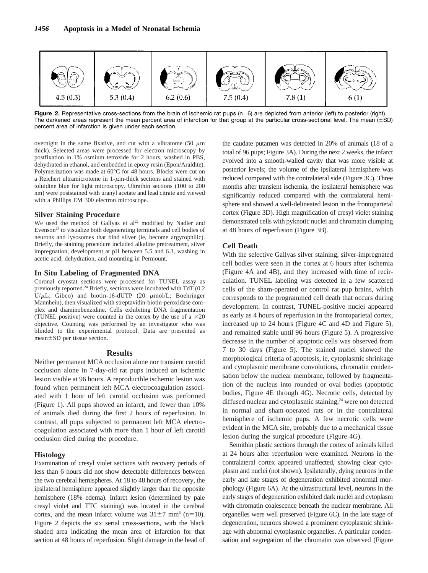

Figure 2. Representative cross-sections from the brain of ischemic rat pups (n=6) are depicted from anterior (left) to posterior (right). The darkened areas represent the mean percent area of infarction for that group at the particular cross-sectional level. The mean  $(\pm SD)$ percent area of infarction is given under each section.

overnight in the same fixative, and cut with a vibratome  $(50 \mu m)$ thick). Selected areas were processed for electron microscopy by postfixation in 1% osmium tetroxide for 2 hours, washed in PBS, dehydrated in ethanol, and embedded in epoxy resin (Epon/Araldite). Polymerization was made at 60°C for 48 hours. Blocks were cut on a Reichert ultramicrotome in  $1-\mu m$ -thick sections and stained with toluidine blue for light microscopy. Ultrathin sections (100 to 200 nm) were poststained with uranyl acetate and lead citrate and viewed with a Phillips EM 300 electron microscope.

#### **Silver Staining Procedure**

We used the method of Gallyas et  $al<sup>22</sup>$  modified by Nadler and Evenson $^{23}$  to visualize both degenerating terminals and cell bodies of neurons and lysosomes that bind silver (ie, become argyrophilic). Briefly, the staining procedure included alkaline pretreatment, silver impregnation, development at pH between 5.5 and 6.3, washing in acetic acid, dehydration, and mounting in Permount.

#### **In Situ Labeling of Fragmented DNA**

Coronal cryostat sections were processed for TUNEL assay as previously reported.24 Briefly, sections were incubated with TdT (0.2 U/ $\mu$ L; Gibco) and biotin-16-dUTP (20  $\mu$ mol/L; Boehringer Mannhein), then visualized with streptavidin-biotin-peroxidase complex and diaminobenzidine. Cells exhibiting DNA fragmentation (TUNEL positive) were counted in the cortex by the use of a  $\times$ 20 objective. Counting was performed by an investigator who was blinded to the experimental protocol. Data are presented as  $mean \pm SD$  per tissue section.

#### **Results**

Neither permanent MCA occlusion alone nor transient carotid occlusion alone in 7-day-old rat pups induced an ischemic lesion visible at 96 hours. A reproducible ischemic lesion was found when permanent left MCA electrocoagulation associated with 1 hour of left carotid occlusion was performed (Figure 1). All pups showed an infarct, and fewer than 10% of animals died during the first 2 hours of reperfusion. In contrast, all pups subjected to permanent left MCA electrocoagulation associated with more than 1 hour of left carotid occlusion died during the procedure.

#### **Histology**

Examination of cresyl violet sections with recovery periods of less than 6 hours did not show detectable differences between the two cerebral hemispheres. At 18 to 48 hours of recovery, the ipsilateral hemisphere appeared slightly larger than the opposite hemisphere (18% edema). Infarct lesion (determined by pale cresyl violet and TTC staining) was located in the cerebral cortex, and the mean infarct volume was  $31\pm7$  mm<sup>3</sup> (n=10). Figure 2 depicts the six serial cross-sections, with the black shaded area indicating the mean area of infarction for that section at 48 hours of reperfusion. Slight damage in the head of

the caudate putamen was detected in 20% of animals (18 of a total of 96 pups; Figure 3A). During the next 2 weeks, the infarct evolved into a smooth-walled cavity that was more visible at posterior levels; the volume of the ipsilateral hemisphere was reduced compared with the contralateral side (Figure 3C). Three months after transient ischemia, the ipsilateral hemisphere was significantly reduced compared with the contralateral hemisphere and showed a well-delineated lesion in the frontoparietal cortex (Figure 3D). High magnification of cresyl violet staining demonstrated cells with pyknotic nuclei and chromatin clumping at 48 hours of reperfusion (Figure 3B).

#### **Cell Death**

With the selective Gallyas silver staining, silver-impregnated cell bodies were seen in the cortex at 6 hours after ischemia (Figure 4A and 4B), and they increased with time of recirculation. TUNEL labeling was detected in a few scattered cells of the sham-operated or control rat pup brains, which corresponds to the programmed cell death that occurs during development. In contrast, TUNEL-positive nuclei appeared as early as 4 hours of reperfusion in the frontoparietal cortex, increased up to 24 hours (Figure 4C and 4D and Figure 5), and remained stable until 96 hours (Figure 5). A progressive decrease in the number of apoptotic cells was observed from 7 to 30 days (Figure 5). The stained nuclei showed the morphological criteria of apoptosis, ie, cytoplasmic shrinkage and cytoplasmic membrane convolutions, chromatin condensation below the nuclear membrane, followed by fragmentation of the nucleus into rounded or oval bodies (apoptotic bodies, Figure 4E through 4G). Necrotic cells, detected by diffused nuclear and cytoplasmic staining,<sup>24</sup> were not detected in normal and sham-operated rats or in the contralateral hemisphere of ischemic pups. A few necrotic cells were evident in the MCA site, probably due to a mechanical tissue lesion during the surgical procedure (Figure 4G).

Semithin plastic sections through the cortex of animals killed at 24 hours after reperfusion were examined. Neurons in the contralateral cortex appeared unaffected, showing clear cytoplasm and nuclei (not shown). Ipsilaterally, dying neurons in the early and late stages of degeneration exhibited abnormal morphology (Figure 6A). At the ultrastructural level, neurons in the early stages of degeneration exhibited dark nuclei and cytoplasm with chromatin coalescence beneath the nuclear membrane. All organelles were well preserved (Figure 6C). In the late stage of degeneration, neurons showed a prominent cytoplasmic shrinkage with abnormal cytoplasmic organelles. A particular condensation and segregation of the chromatin was observed (Figure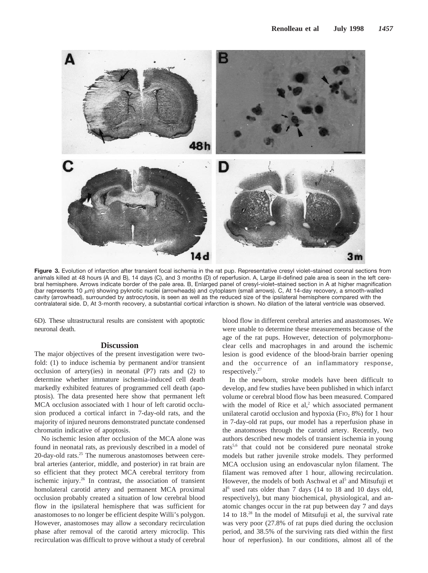

**Figure 3.** Evolution of infarction after transient focal ischemia in the rat pup. Representative cresyl violet–stained coronal sections from animals killed at 48 hours (A and B), 14 days (C), and 3 months (D) of reperfusion. A, Large ill-defined pale area is seen in the left cerebral hemisphere. Arrows indicate border of the pale area. B, Enlarged panel of cresyl-violet–stained section in A at higher magnification (bar represents 10  $\mu$ m) showing pyknotic nuclei (arrowheads) and cytoplasm (small arrows). C, At 14-day recovery, a smooth-walled cavity (arrowhead), surrounded by astrocytosis, is seen as well as the reduced size of the ipsilateral hemisphere compared with the contralateral side. D, At 3-month recovery, a substantial cortical infarction is shown. No dilation of the lateral ventricle was observed.

6D). These ultrastructural results are consistent with apoptotic neuronal death.

### **Discussion**

The major objectives of the present investigation were twofold: (1) to induce ischemia by permanent and/or transient occlusion of artery(ies) in neonatal (P7) rats and (2) to determine whether immature ischemia-induced cell death markedly exhibited features of programmed cell death (apoptosis). The data presented here show that permanent left MCA occlusion associated with 1 hour of left carotid occlusion produced a cortical infarct in 7-day-old rats, and the majority of injured neurons demonstrated punctate condensed chromatin indicative of apoptosis.

No ischemic lesion after occlusion of the MCA alone was found in neonatal rats, as previously described in a model of 20-day-old rats. $25$  The numerous anastomoses between cerebral arteries (anterior, middle, and posterior) in rat brain are so efficient that they protect MCA cerebral territory from ischemic injury.26 In contrast, the association of transient homolateral carotid artery and permanent MCA proximal occlusion probably created a situation of low cerebral blood flow in the ipsilateral hemisphere that was sufficient for anastomoses to no longer be efficient despite Willi's polygon. However, anastomoses may allow a secondary recirculation phase after removal of the carotid artery microclip. This recirculation was difficult to prove without a study of cerebral

blood flow in different cerebral arteries and anastomoses. We were unable to determine these measurements because of the age of the rat pups. However, detection of polymorphonuclear cells and macrophages in and around the ischemic lesion is good evidence of the blood-brain barrier opening and the occurrence of an inflammatory response, respectively.<sup>27</sup>

In the newborn, stroke models have been difficult to develop, and few studies have been published in which infarct volume or cerebral blood flow has been measured. Compared with the model of Rice et al, $2$  which associated permanent unilateral carotid occlusion and hypoxia (FI $o$ , 8%) for 1 hour in 7-day-old rat pups, our model has a reperfusion phase in the anatomoses through the carotid artery. Recently, two authors described new models of transient ischemia in young rats5,6 that could not be considered pure neonatal stroke models but rather juvenile stroke models. They performed MCA occlusion using an endovascular nylon filament. The filament was removed after 1 hour, allowing recirculation. However, the models of both Aschwal et  $al<sup>5</sup>$  and Mitsufuji et al<sup>6</sup> used rats older than 7 days (14 to 18 and 10 days old, respectively), but many biochemical, physiological, and anatomic changes occur in the rat pup between day 7 and days 14 to 18.28 In the model of Mitsufuji et al, the survival rate was very poor (27.8% of rat pups died during the occlusion period, and 38.5% of the surviving rats died within the first hour of reperfusion). In our conditions, almost all of the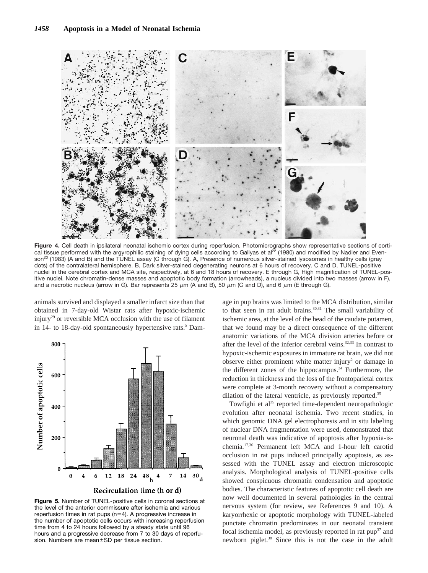

Figure 4. Cell death in ipsilateral neonatal ischemic cortex during reperfusion. Photomicrographs show representative sections of cortical tissue performed with the argyrophilic staining of dying cells according to Gallyas et al<sup>22</sup> (1980) and modified by Nadler and Evenson<sup>23</sup> (1983) (A and B) and the TUNEL assay (C through G). A, Presence of numerous silver-stained lysosomes in healthy cells (gray dots) of the contralateral hemisphere. B, Dark silver-stained degenerating neurons at 6 hours of recovery. C and D, TUNEL-positive nuclei in the cerebral cortex and MCA site, respectively, at 6 and 18 hours of recovery. E through G, High magnification of TUNEL-positive nuclei. Note chromatin-dense masses and apoptotic body formation (arrowheads), a nucleus divided into two masses (arrow in F), and a necrotic nucleus (arrow in G). Bar represents 25  $\mu$ m (A and B), 50  $\mu$ m (C and D), and 6  $\mu$ m (E through G).

animals survived and displayed a smaller infarct size than that obtained in 7-day-old Wistar rats after hypoxic-ischemic injury<sup>29</sup> or reversible MCA occlusion with the use of filament in 14- to 18-day-old spontaneously hypertensive rats.<sup>5</sup> Dam-



**Figure 5.** Number of TUNEL-positive cells in coronal sections at the level of the anterior commissure after ischemia and various reperfusion times in rat pups  $(n=4)$ . A progressive increase in the number of apoptotic cells occurs with increasing reperfusion time from 4 to 24 hours followed by a steady state until 96 hours and a progressive decrease from 7 to 30 days of reperfusion. Numbers are mean $\pm$ SD per tissue section.

age in pup brains was limited to the MCA distribution, similar to that seen in rat adult brains.<sup>30,31</sup> The small variability of ischemic area, at the level of the head of the caudate putamen, that we found may be a direct consequence of the different anatomic variations of the MCA division arteries before or after the level of the inferior cerebral veins.32,33 In contrast to hypoxic-ischemic exposures in immature rat brain, we did not observe either prominent white matter injury<sup>2</sup> or damage in the different zones of the hippocampus.<sup>34</sup> Furthermore, the reduction in thickness and the loss of the frontoparietal cortex were complete at 3-month recovery without a compensatory dilation of the lateral ventricle, as previously reported.<sup>35</sup>

Towfighi et al<sup>35</sup> reported time-dependent neuropathologic evolution after neonatal ischemia. Two recent studies, in which genomic DNA gel electrophoresis and in situ labeling of nuclear DNA fragmentation were used, demonstrated that neuronal death was indicative of apoptosis after hypoxia-ischemia*.* 17,36 Permanent left MCA and 1-hour left carotid occlusion in rat pups induced principally apoptosis, as assessed with the TUNEL assay and electron microscopic analysis. Morphological analysis of TUNEL-positive cells showed conspicuous chromatin condensation and apoptotic bodies. The characteristic features of apoptotic cell death are now well documented in several pathologies in the central nervous system (for review, see References 9 and 10). A karyorrhexic or apoptotic morphology with TUNEL-labeled punctate chromatin predominates in our neonatal transient focal ischemia model, as previously reported in rat  $pup^{37}$  and newborn piglet.<sup>38</sup> Since this is not the case in the adult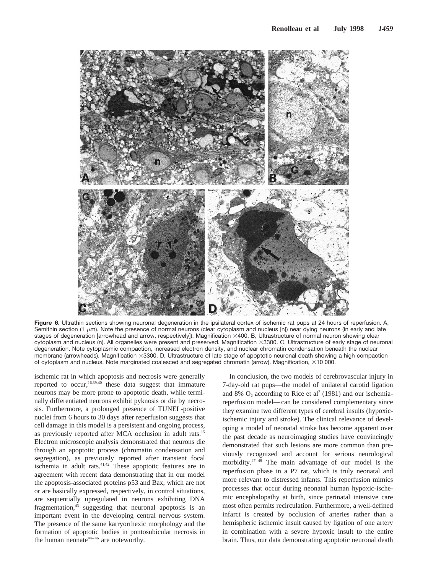

**Figure 6.** Ultrathin sections showing neuronal degeneration in the ipsilateral cortex of ischemic rat pups at 24 hours of reperfusion. A, Semithin section (1  $\mu$ m). Note the presence of normal neurons (clear cytoplasm and nucleus [n]) near dying neurons (in early and late stages of degeneration [arrowhead and arrow, respectively]). Magnification ×400. B, Ultrastructure of normal neuron showing clear cytoplasm and nucleus (n). All organelles were present and preserved. Magnification ×3300. C, Ultrastructure of early stage of neuronal degeneration. Note cytoplasmic compaction, increased electron density, and nuclear chromatin condensation beneath the nuclear membrane (arrowheads). Magnification ×3300. D, Ultrastructure of late stage of apoptotic neuronal death showing a high compaction of cytoplasm and nucleus. Note marginated coalesced and segregated chromatin (arrow). Magnification, ×10 000.

ischemic rat in which apoptosis and necrosis were generally reported to occur,  $16,39,40$  these data suggest that immature neurons may be more prone to apoptotic death, while terminally differentiated neurons exhibit pyknosis or die by necrosis*.* Furthermore, a prolonged presence of TUNEL-positive nuclei from 6 hours to 30 days after reperfusion suggests that cell damage in this model is a persistent and ongoing process, as previously reported after MCA occlusion in adult rats.<sup>15</sup> Electron microscopic analysis demonstrated that neurons die through an apoptotic process (chromatin condensation and segregation), as previously reported after transient focal ischemia in adult rats.41,42 These apoptotic features are in agreement with recent data demonstrating that in our model the apoptosis-associated proteins p53 and Bax, which are not or are basically expressed, respectively, in control situations, are sequentially upregulated in neurons exhibiting DNA fragmentation,<sup>43</sup> suggesting that neuronal apoptosis is an important event in the developing central nervous system. The presence of the same karryorrhexic morphology and the formation of apoptotic bodies in pontosubicular necrosis in the human neonate<sup>44–46</sup> are noteworthy.

In conclusion, the two models of cerebrovascular injury in 7-day-old rat pups—the model of unilateral carotid ligation and 8%  $O_2$  according to Rice et al<sup>2</sup> (1981) and our ischemiareperfusion model—can be considered complementary since they examine two different types of cerebral insults (hypoxicischemic injury and stroke). The clinical relevance of developing a model of neonatal stroke has become apparent over the past decade as neuroimaging studies have convincingly demonstrated that such lesions are more common than previously recognized and account for serious neurological morbidity.47–49 The main advantage of our model is the reperfusion phase in a P7 rat, which is truly neonatal and more relevant to distressed infants. This reperfusion mimics processes that occur during neonatal human hypoxic-ischemic encephalopathy at birth, since perinatal intensive care most often permits recirculation. Furthermore, a well-defined infarct is created by occlusion of arteries rather than a hemispheric ischemic insult caused by ligation of one artery in combination with a severe hypoxic insult to the entire brain. Thus, our data demonstrating apoptotic neuronal death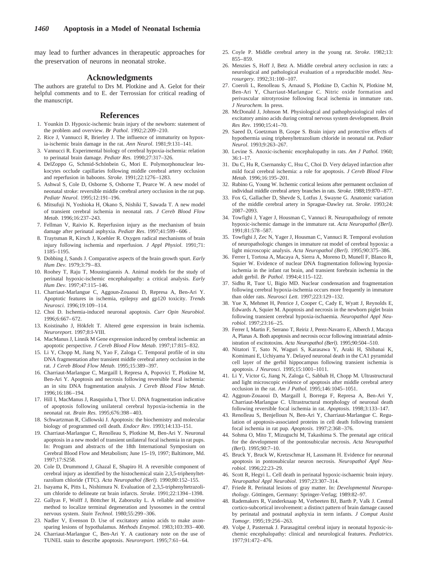may lead to further advances in therapeutic approaches for the preservation of neurons in neonatal stroke.

### **Acknowledgments**

The authors are grateful to Drs M. Plotkine and A. Gelot for their helpful comments and to E. der Terrossian for critical reading of the manuscript.

#### **References**

- 1. Younkin D. Hypoxic-ischemic brain injury of the newborn: statement of the problem and overview. *Br Pathol*. 1992;2:209–210.
- 2. Rice J, Vannucci R, Brierley J. The influence of immaturity on hypoxia-ischemic brain damage in the rat. *Ann Neurol*. 1981;9:131–141.
- 3. Vannucci R. Experimental biology of cerebral hypoxia-ischemia: relation to perinatal brain damage. *Pediatr Res*. 1990;27:317–326.
- 4. DelZoppo G, Schmid-Schönbein G, Mori E. Polymorphonuclear leukocytes occlude capillaries following middle cerebral artery occlusion and reperfusion in baboons. *Stroke*. 1991;22:1276–1283.
- 5. Ashwal S, Cole D, Osborne S, Osborne T, Pearce W. A new model of neonatal stroke: reversible middle cerebral artery occlusion in the rat pup. *Pediatr Neurol*. 1995;12:191–196.
- 6. Mitsufuji N, Yoshioka H, Okano S, Nishiki T, Sawada T. A new model of transient cerebral ischemia in neonatal rats. *J Cereb Blood Flow Metab*. 1996;16:237–243.
- 7. Fellman V, Raivio K. Reperfusion injury as the mechanism of brain damage after perinatal asphyxia. *Pediatr Res*. 1997;41:599–606 .
- 8. Traytsman R, Kirsch J, Koehler R. Oxygen radical mechanisms of brain injury following ischemia and reperfusion. *J Appl Physiol*. 1991;71: 1185–1195.
- 9. Dobbing J, Sands J. Comparative aspects of the brain growth spurt. *Early Hum Dev*. 1979;3:79–83.
- 10. Roohey T, Raju T, Moustogiannis A. Animal models for the study of perinatal hypoxic-ischemic encephalopathy: a critical analysis. *Early Hum Dev*. 1997;47:115–146.
- 11. Charriaut-Marlangue C, Aggoun-Zouaoui D, Represa A, Ben-Ari Y. Apoptotic features in ischemia, epilepsy and gp120 toxicity. *Trends Neurosci*. 1996;19:109–114.
- 12. Choi D. Ischemia-induced neuronal apoptosis. *Curr Opin Neurobiol*. 1996;6:667–672.
- 13. Koistinaho J, Hökfelt T. Altered gene expression in brain ischemia. *Neuroreport*. 1997;8:I-VIII.
- 14. MacManus J, Linnik M Gene expression induced by cerebral ischemia: an apoptotic perspective. *J Cereb Blood Flow Metab*. 1997;17:815–832.
- 15. Li Y, Chopp M, Jiang N, Yao F, Zaloga C. Temporal profile of in situ DNA fragmentation after transient middle cerebral artery occlusion in the rat. *J Cereb Blood Flow Metab*. 1995;15:389–397.
- 16. Charriaut-Marlangue C, Margaill I, Represa A, Popovici T, Plotkine M, Ben-Ari Y. Apoptosis and necrosis following reversible focal ischemia: an in situ DNA fragmentation analysis. *J Cereb Blood Flow Metab*. 1996;16:186–194.
- 17. Hill I, MacManus J, Rasquinha I, Thor U. DNA fragmentation indicative of apoptosis following unilateral cerebral hypoxia-ischemia in the neonatal rat. *Brain Res*. 1995;676:398–403.
- 18. Schwartzman R, Cidlowski J. Apoptosis: the biochemistry and molecular biology of programmed cell death. *Endocr Rev*. 1993;14:133–151.
- 19. Charriaut-Marlangue C, Renolleau S, Plotkine M, Ben-Ari Y. Neuronal apoptosis in a new model of transient unilateral focal ischemia in rat pups. In: Program and abstracts of the 18th International Symposium on Cerebral Blood Flow and Metabolism; June 15–19, 1997; Baltimore, Md. 1997;17:S258.
- 20. Cole D, Drummond J, Ghazal E, Shapiro H. A reversible component of cerebral injury as identified by the histochemical stain 2,3,5-triphenyltetrazolium chloride (TTC). *Acta Neuropathol (Berl).* 1990;80:152–155.
- 21. Isayama K, Pitts L, Nishimura N. Evaluation of 2,3,5-triphenyltetrazolium chloride to delineate rat brain infarcts. *Stroke*. 1991;22:1394–1398.
- 22. Gallyas F, Wolff J, Böttcher H, Zaborszky L. A reliable and sensitive method to localize terminal degeneration and lysosomes in the central nervous system. *Stain Technol*. 1980;55:299–306.
- 23. Nadler V, Evenson D. Use of excitatory amino acids to make axonsparing lesions of hypothalamus. *Methods Enzymol*. 1983;103:393–400.
- 24. Charriaut-Marlangue C, Ben-Ari Y. A cautionary note on the use of TUNEL stain to describe apoptosis. *Neuroreport*. 1995;7:61–64.
- 25. Coyle P. Middle cerebral artery in the young rat. *Stroke*. 1982;13: 855–859.
- 26. Menzies S, Hoff J, Betz A. Middle cerebral artery occlusion in rats: a neurological and pathological evaluation of a reproducible model. *Neurosurgery*. 1992;31:100–107.
- 27. Coeroli L, Renolleau S, Arnaud S, Plotkine D, Cachin N, Plotkine M, Ben-Ari Y, Charriaut-Marlangue C. Nitric oxide formation and perivascular nitrotyrosine following focal ischemia in immature rats. *J Neurochem.* In press.
- 28. McDonald J, Johnson M. Physiological and pathophysiological roles of excitatory amino acids during central nervous system development. *Brain Res Rev*. 1990;15:41–70.
- 29. Saeed D, Goetzman B, Gospe S. Brain injury and protective effects of hypothermia using triphenyltetrazolium chloride in neonatal rat. *Pediatr Neurol*. 1993;9:263–267.
- 30. Levine S. Anoxic-ischemic encephalopathy in rats. *Am J Pathol*. 1960; 36:1–17.
- 31. Du C, Hu R, Csernansky C, Hsu C, Choi D. Very delayed infarction after mild focal cerebral ischemia: a role for apoptosis. *J Cereb Blood Flow Metab.* 1996;16:195–201.
- 32. Rubino G, Young W. Ischemic cortical lesions after permanent occlusion of individual middle cerebral artery branches in rats. *Stroke*. 1988;19:870–877.
- 33. Fox G, Gallacher D, Shevde S, Lotfus J, Swayne G. Anatomic variation of the middle cerebral artery in Sprague-Dawley rat. *Stroke*. 1993;24: 2087–2093.
- 34. Towfighi J, Yager J, Housman C, Vannuci R. Neuropathology of remote hypoxic-ischemic damage in the immature rat. *Acta Neuropathol (Berl)*. 1991;81:578–587.
- 35. Towfighi J, Zec N, Yager J, Housman C, Vannuci R. Temporal evolution of neuropathologic changes in immature rat model of cerebral hypoxia: a light microscopic analysis. *Acta Neuropathol (Berl)*. 1995;90:375–386.
- 36. Ferrer I, Tortosa A, Macaya A, Sierra A, Moreno D, Munell F, Blanco R, Squier W. Evidence of nuclear DNA fragmentation following hypoxiaischemia in the infant rat brain, and transient forebrain ischemia in the adult gerbil. *Br Pathol*. 1994;4:115–122.
- 37. Sidhu R, Tuor U, Bigio MD. Nuclear condensation and fragmentation following cerebral hypoxia-ischemia occurs more frequently in immature than older rats. *Neurosci Lett*. 1997;223:129–132.
- 38. Yue X, Mehmet H, Penrice J, Cooper C, Cady E, Wyatt J, Reynolds E, Edwards A, Squier M. Apoptosis and necrosis in the newborn piglet brain following transient cerebral hypoxia-ischaemia. *Neuropathol Appl Neurobiol*. 1997;23:16–25.
- 39. Ferrer I, Martin F, Serrano T, Reiriz J, Perez-Navarro E, Alberch J, Macaya A, Planas A. Both apoptosis and necrosis occur following intrastriatal administration of excitotoxins. *Acta Neuropathol (Berl)*. 1995;90:504–510.
- 40. Nitatori T, Sato N, Waguri S, Karasawa Y, Araki H, Shibanai K, Komimani E, Uchiyama Y. Delayed neuronal death in the CA1 pyramidal cell layer of the gerbil hippocampus following transient ischemia is apoptosis. *J Neurosci*. 1995;15:1001–1011.
- 41. Li Y, Victor G, Jiang N, Zaloga C, Sabbah H, Chopp M. Ultrastructural and light microscopic evidence of apoptosis after middle cerebral artery occlusion in the rat. *Am J Pathol*. 1995;146:1045–1051.
- 42. Aggoun-Zouaoui D, Margaill I, Borrega F, Represa A, Ben-Ari Y, Charriaut-Marlangue C. Ultrastructural morphology of neuronal death following reversible focal ischemia in rat. *Apoptosis*. 1998;3:133–147.
- 43. Renolleau S, Benjelloun N, Ben-Ari Y, Charriaut-Marlangue C. Regulation of apoptosis-associated proteins in cell death following transient focal ischemia in rat pup. *Apoptosis*. 1997;2:368–376.
- 44. Sohma O, Mito T, Mizuguchi M, Takashima S. The prenatal age critical for the development of the pontosubicular necrosis. *Acta Neuropathol (Berl)*. 1995;90:7–10.
- 45. Bruck Y, Bruck W, Kretzschmar H, Lassmann H. Evidence for neuronal apoptosis in pontosubicular neuron necrosis. *Neuropathol Appl Neurobiol*. 1996;22:23–29.
- 46. Scott R, Hegyi L. Cell death in perinatal hypoxic-ischaemic brain injury. *Neuropathol Appl Neurobiol*. 1997;23:307–314.
- 47. Friede R. Perinatal lesions of gray matter. In: *Developmental Neuropathology*. Göttingen, Germany: Springer-Verlag; 1989:82-97.
- 48. Rademakers R, Vanderknaap M, Verbeeten BJ, Barth P, Valk J. Central cortico-subcortical involvement: a distinct pattern of brain damage caused by perinatal and postnatal asphyxia in term infants. *J Comput Assist Tomogr*. 1995;19:256–263.
- 49. Volpe J, Pasternak J. Parasagittal cerebral injury in neonatal hypoxic-ischemic encephalopathy: clinical and neurological features. *Pediatrics*. 1977;91:472–476.